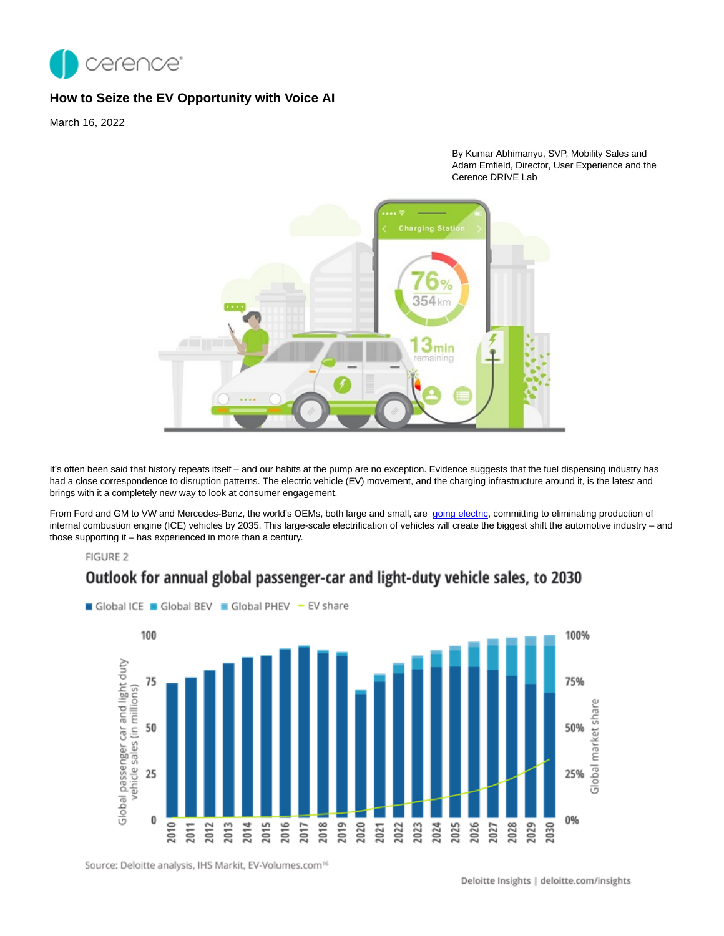

## **How to Seize the EV Opportunity with Voice AI**

March 16, 2022

By Kumar Abhimanyu, SVP, Mobility Sales and Adam Emfield, Director, User Experience and the Cerence DRIVE Lab



It's often been said that history repeats itself - and our habits at the pump are no exception. Evidence suggests that the fuel dispensing industry has had a close correspondence to disruption patterns. The electric vehicle (EV) movement, and the charging infrastructure around it, is the latest and brings with it a completely new way to look at consumer engagement.

From Ford and GM to VW and Mercedes-Benz, the world's OEMs, both large and small, are [going electric,](https://www.cnbc.com/2021/07/13/volkswagen-wants-half-of-its-vehicle-sales-to-be-electric-by-2030.html) committing to eliminating production of internal combustion engine (ICE) vehicles by 2035. This large-scale electrification of vehicles will create the biggest shift the automotive industry – and those supporting it – has experienced in more than a century.

Outlook for annual global passenger-car and light-duty vehicle sales, to 2030

## FIGURE 2



Source: Deloitte analysis, IHS Markit, EV-Volumes.com<sup>16</sup>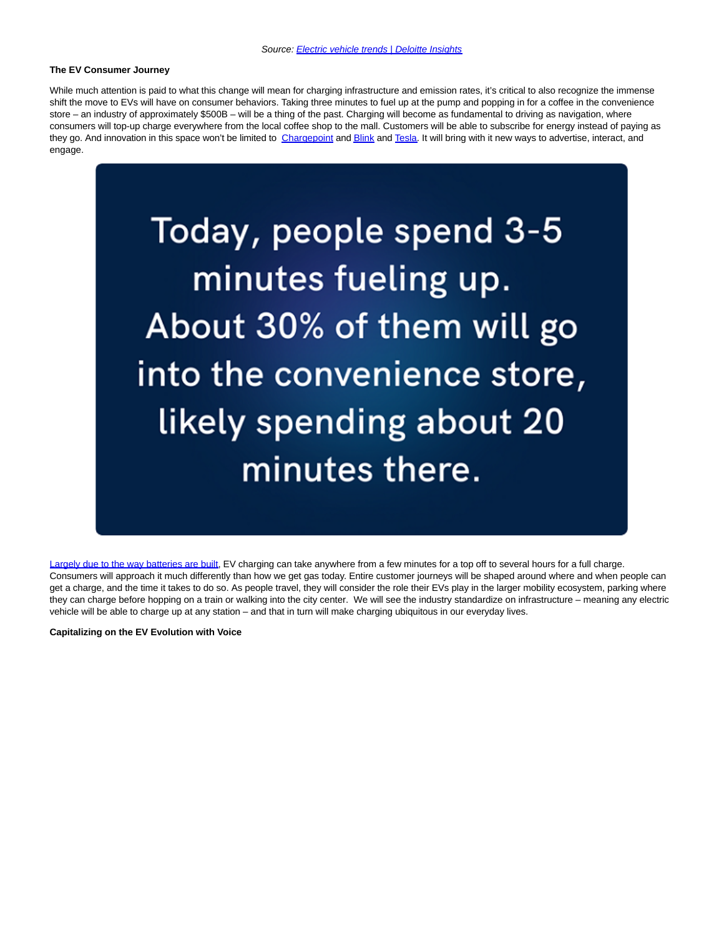## **The EV Consumer Journey**

While much attention is paid to what this change will mean for charging infrastructure and emission rates, it's critical to also recognize the immense shift the move to EVs will have on consumer behaviors. Taking three minutes to fuel up at the pump and popping in for a coffee in the convenience store – an industry of approximately \$500B – will be a thing of the past. Charging will become as fundamental to driving as navigation, where consumers will top-up charge everywhere from the local coffee shop to the mall. Customers will be able to subscribe for energy instead of paying as they go. And innovation in this space won't be limited to [Chargepoint a](https://www.chargepoint.com/)n[d Blink a](https://blinkcharging.com/)n[d Tesla.](https://www.tesla.com/) It will bring with it new ways to advertise, interact, and engage.



[Largely due to the way batteries are built,](https://en.wikipedia.org/wiki/Charging_station#:~:text=Batteries%20are%20charged%20with%20DC,internally%20and%20charges%20its%20battery.) EV charging can take anywhere from a few minutes for a top off to several hours for a full charge. Consumers will approach it much differently than how we get gas today. Entire customer journeys will be shaped around where and when people can get a charge, and the time it takes to do so. As people travel, they will consider the role their EVs play in the larger mobility ecosystem, parking where they can charge before hopping on a train or walking into the city center. We will see the industry standardize on infrastructure – meaning any electric vehicle will be able to charge up at any station – and that in turn will make charging ubiquitous in our everyday lives.

**Capitalizing on the EV Evolution with Voice**